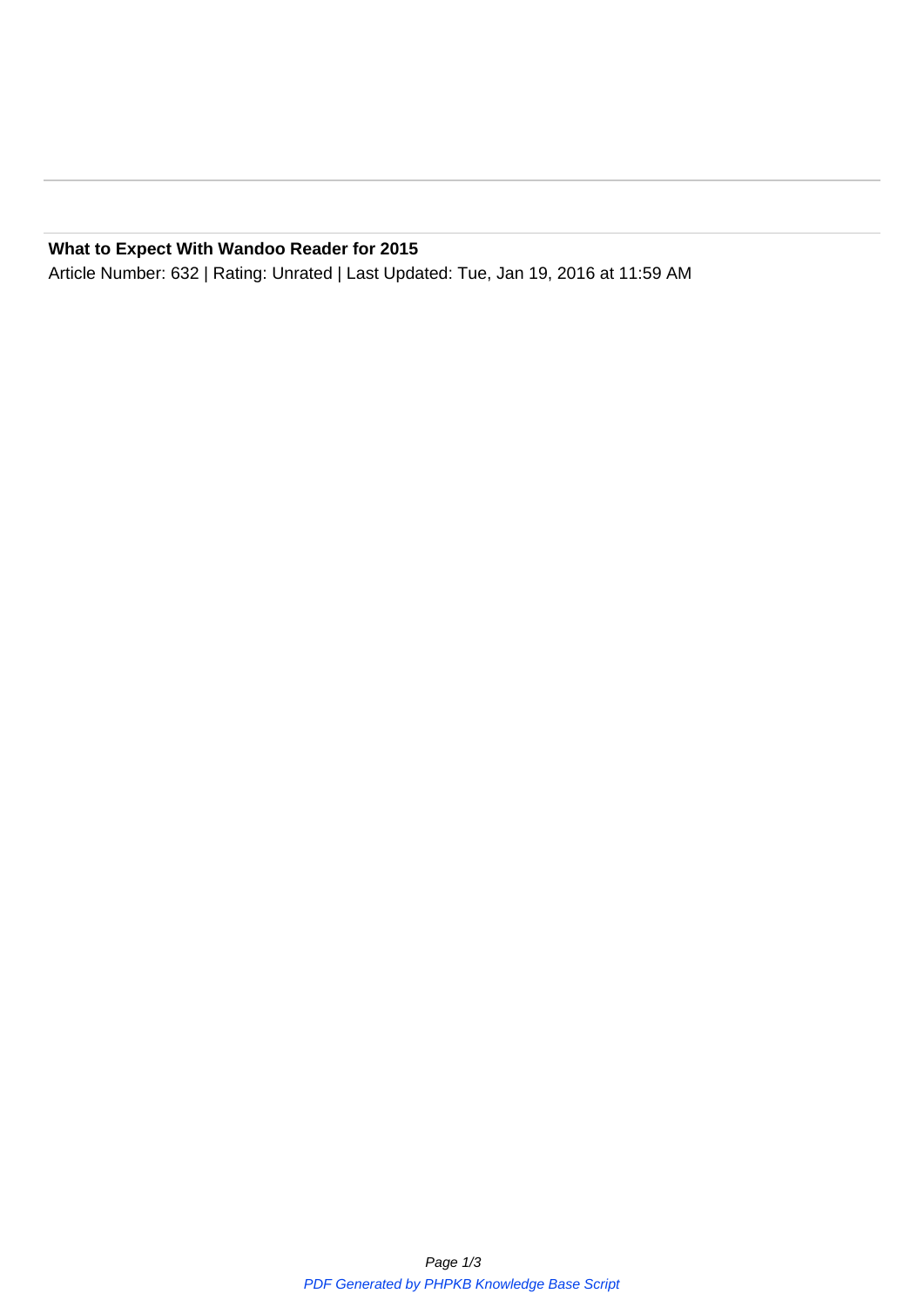**What to Expect With Wandoo Reader for 2015** Article Number: 632 | Rating: Unrated | Last Updated: Tue, Jan 19, 2016 at 11:59 AM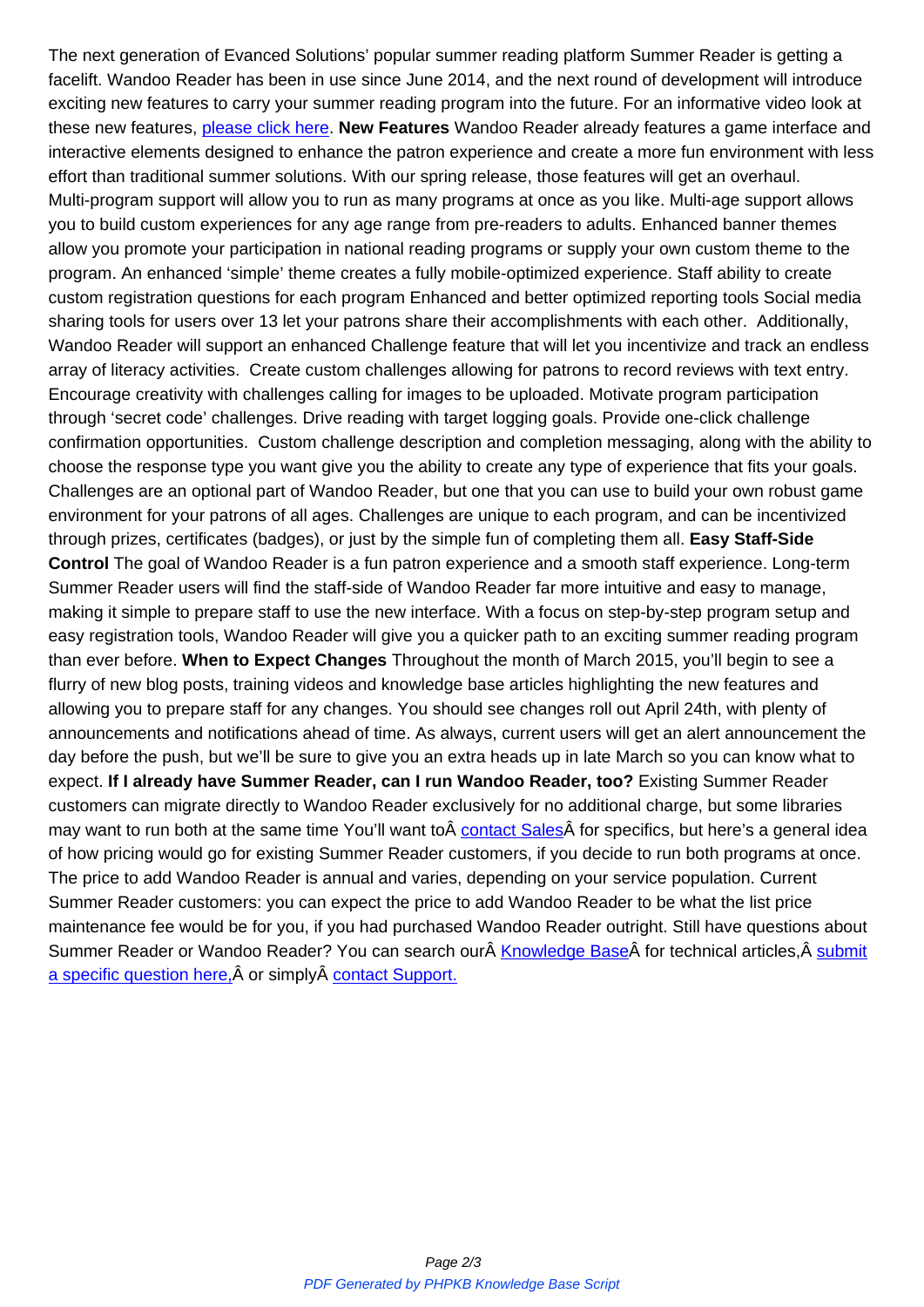facelift. Wandoo Reader has been in use since June 2014, and the next round of development will introduce exciting new features to carry your summer reading program into the future. For an informative video look at these new features, please click here. **New Features** Wandoo Reader already features a game interface and interactive elements designed to enhance the patron experience and create a more fun environment with less effort than traditional summer solutions. With our spring release, those features will get an overhaul. Multi-program supp[ort will allow you t](https://evancedsolutions.wistia.com/medias/uzot28au6m)o run as many programs at once as you like. Multi-age support allows you to build custom experiences for any age range from pre-readers to adults. Enhanced banner themes allow you promote your participation in national reading programs or supply your own custom theme to the program. An enhanced 'simple' theme creates a fully mobile-optimized experience. Staff ability to create custom registration questions for each program Enhanced and better optimized reporting tools Social media sharing tools for users over 13 let your patrons share their accomplishments with each other. Additionally, Wandoo Reader will support an enhanced Challenge feature that will let you incentivize and track an endless array of literacy activities. Create custom challenges allowing for patrons to record reviews with text entry. Encourage creativity with challenges calling for images to be uploaded. Motivate program participation through 'secret code' challenges. Drive reading with target logging goals. Provide one-click challenge confirmation opportunities. Custom challenge description and completion messaging, along with the ability to choose the response type you want give you the ability to create any type of experience that fits your goals. Challenges are an optional part of Wandoo Reader, but one that you can use to build your own robust game environment for your patrons of all ages. Challenges are unique to each program, and can be incentivized through prizes, certificates (badges), or just by the simple fun of completing them all. **Easy Staff-Side Control** The goal of Wandoo Reader is a fun patron experience and a smooth staff experience. Long-term Summer Reader users will find the staff-side of Wandoo Reader far more intuitive and easy to manage, making it simple to prepare staff to use the new interface. With a focus on step-by-step program setup and easy registration tools, Wandoo Reader will give you a quicker path to an exciting summer reading program than ever before. **When to Expect Changes** Throughout the month of March 2015, you'll begin to see a flurry of new blog posts, training videos and knowledge base articles highlighting the new features and allowing you to prepare staff for any changes. You should see changes roll out April 24th, with plenty of announcements and notifications ahead of time. As always, current users will get an alert announcement the day before the push, but we'll be sure to give you an extra heads up in late March so you can know what to expect. **If I already have Summer Reader, can I run Wandoo Reader, too?** Existing Summer Reader customers can migrate directly to Wandoo Reader exclusively for no additional charge, but some libraries may want to run both at the same time You'll want to contact Sales for specifics, but here's a general idea of how pricing would go for existing Summer Reader customers, if you decide to run both programs at once. The price to add Wandoo Reader is annual and varies, depending on your service population. Current Summer Reader customers: you can expect the price [to add Wandoo](https://mail.google.com/mail/?view=cm&fs=1&tf=1&to=sales@evancedsolutions.com) Reader to be what the list price maintenance fee would be for you, if you had purchased Wandoo Reader outright. Still have questions about Summer Reader or Wandoo Reader? You can search our Knowledge Base for technical articles, submit a specific question here, $\hat{A}$  or simply  $\hat{A}$  contact Support.